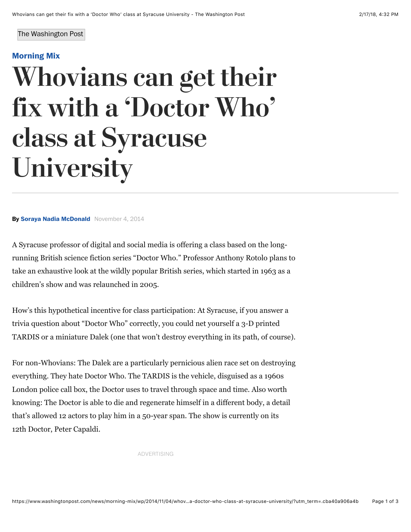#### The Washington Post

### **[Morning Mix](http://www.washingtonpost.com/news/morning-mix/)**

# Whovians can get their fix with a 'Doctor Who' class at Syracuse University

**By [Soraya Nadia McDonald](https://www.washingtonpost.com/people/soraya-nadia-mcdonald/)** November 4, 2014

A Syracuse professor of digital and social media is offering a class based on the longrunning British science fiction series "Doctor Who." Professor Anthony Rotolo plans to take an exhaustive look at the wildly popular British series, which started in 1963 as a children's show and was relaunched in 2005.

How's this hypothetical incentive for class participation: At Syracuse, if you answer a trivia question about "Doctor Who" correctly, you could net yourself a 3-D printed TARDIS or a miniature Dalek (one that won't destroy everything in its path, of course).

For non-Whovians: The Dalek are a particularly pernicious alien race set on destroying everything. They hate Doctor Who. The TARDIS is the vehicle, disguised as a 1960s London police call box, the Doctor uses to travel through space and time. Also worth knowing: The Doctor is able to die and regenerate himself in a different body, a detail that's allowed 12 actors to play him in a 50-year span. The show is currently on its 12th Doctor, Peter Capaldi.

ADVERTISING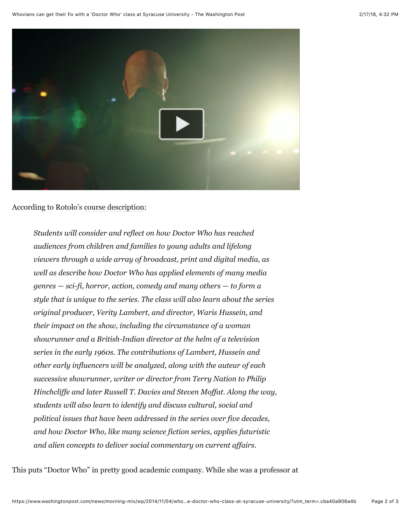

### According to Rotolo's [course description::](http://rotolo.info/whoclass/)

*Students will consider and reflect on how Doctor Who has reached audiences from children and families to young adults and lifelong viewers through a wide array of broadcast, print and digital media, as well as describe how Doctor Who has applied elements of many media genres — sci-fi, horror, action, comedy and many others — to form a style that is unique to the series. The class will also learn about the series original producer, Verity Lambert, and director, Waris Hussein, and their impact on the show, including the circumstance of a woman showrunner and a British-Indian director at the helm of a television series in the early 1960s. The contributions of Lambert, Hussein and other early influencers will be analyzed, along with the auteur of each successive showrunner, writer or director from Terry Nation to Philip Hinchcliffe and later Russell T. Davies and Steven Moffat. Along the way, students will also learn to identify and discuss cultural, social and political issues that have been addressed in the series over five decades, and how Doctor Who, like many science fiction series, applies futuristic and alien concepts to deliver social commentary on current affairs.*

This puts "Doctor Who" in pretty good academic company. While she was a professor at